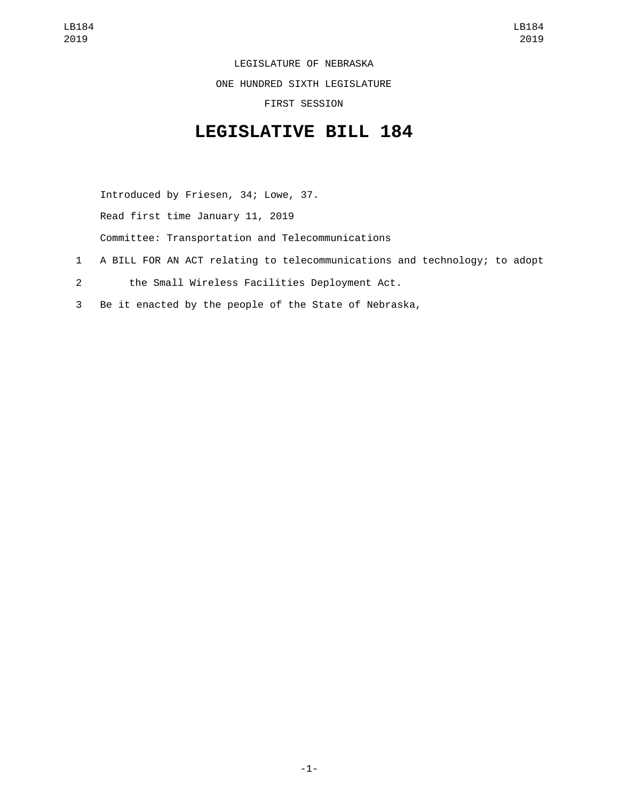LEGISLATURE OF NEBRASKA

ONE HUNDRED SIXTH LEGISLATURE

FIRST SESSION

## **LEGISLATIVE BILL 184**

Introduced by Friesen, 34; Lowe, 37. Read first time January 11, 2019 Committee: Transportation and Telecommunications

- 1 A BILL FOR AN ACT relating to telecommunications and technology; to adopt
- the Small Wireless Facilities Deployment Act.2
- 3 Be it enacted by the people of the State of Nebraska,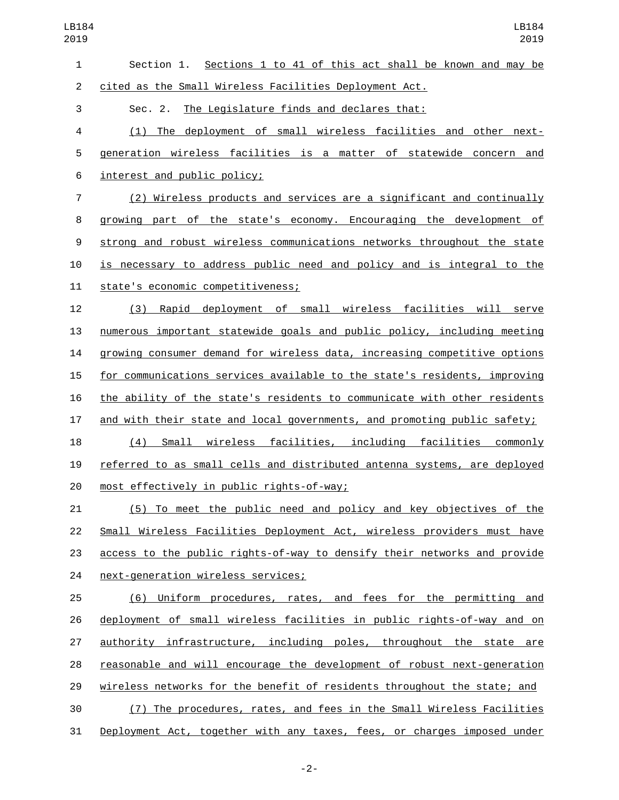| $\mathbf{1}$   | Section 1. Sections 1 to 41 of this act shall be known and may be         |
|----------------|---------------------------------------------------------------------------|
| $\overline{2}$ | cited as the Small Wireless Facilities Deployment Act.                    |
| 3              | Sec. 2. The Legislature finds and declares that:                          |
| 4              | (1) The deployment of small wireless facilities and other next-           |
| 5              | generation wireless facilities is a matter of statewide concern and       |
| 6              | interest and public policy;                                               |
| $\overline{7}$ | (2) Wireless products and services are a significant and continually      |
| 8              | growing part of the state's economy. Encouraging the development of       |
| 9              | strong and robust wireless communications networks throughout the state   |
| 10             | is necessary to address public need and policy and is integral to the     |
| 11             | state's economic competitiveness;                                         |
| 12             | Rapid deployment of small wireless facilities will serve<br>(3)           |
| 13             | numerous important statewide goals and public policy, including meeting   |
| 14             | growing consumer demand for wireless data, increasing competitive options |
| 15             | for communications services available to the state's residents, improving |
| 16             | the ability of the state's residents to communicate with other residents  |
| 17             | and with their state and local governments, and promoting public safety;  |
| 18             | Small wireless facilities, including facilities commonly<br>(4)           |
| 19             | referred to as small cells and distributed antenna systems, are deployed  |
| 20             | most effectively in public rights-of-way;                                 |
| 21             | <u>(5) To meet the public need and policy and key objectives of the </u>  |
| 22             | Small Wireless Facilities Deployment Act, wireless providers must have    |
| 23             | access to the public rights-of-way to densify their networks and provide  |
| 24             | next-generation wireless services;                                        |
| 25             | (6) Uniform procedures, rates, and fees for the permitting and            |
| 26             | deployment of small wireless facilities in public rights-of-way and on    |
| 27             | authority infrastructure, including poles, throughout the state are       |
| 28             | reasonable and will encourage the development of robust next-generation   |
| 29             | wireless networks for the benefit of residents throughout the state; and  |
| 30             | (7) The procedures, rates, and fees in the Small Wireless Facilities      |
| 31             | Deployment Act, together with any taxes, fees, or charges imposed under   |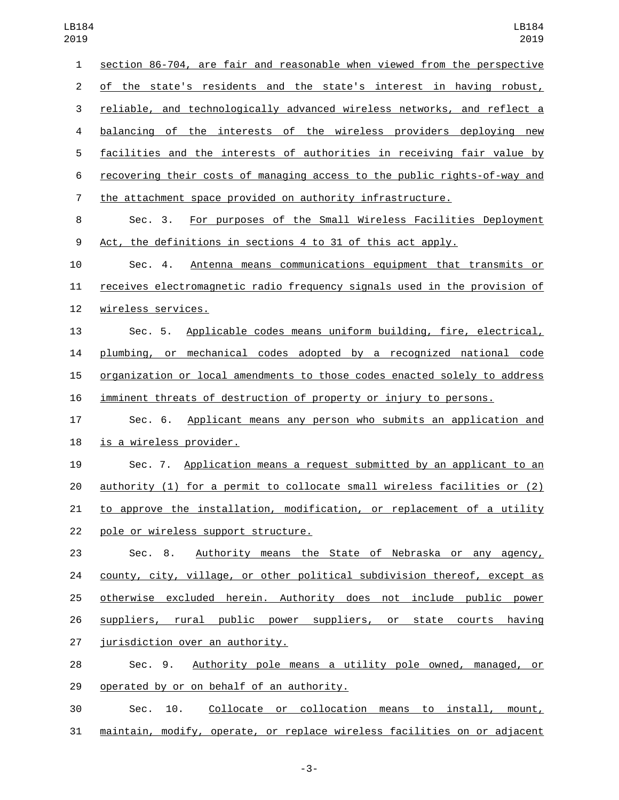| $\mathbf{1}$   | section 86-704, are fair and reasonable when viewed from the perspective        |
|----------------|---------------------------------------------------------------------------------|
| $\overline{2}$ | of the state's residents and the state's interest in having robust,             |
| 3              | reliable, and technologically advanced wireless networks, and reflect a         |
| 4              | balancing of the interests of the wireless providers deploying new              |
| 5              | facilities and the interests of authorities in receiving fair value by          |
| 6              | recovering their costs of managing access to the public rights-of-way and       |
| $\overline{7}$ | the attachment space provided on authority infrastructure.                      |
| 8              | For purposes of the Small Wireless Facilities Deployment<br>Sec. 3.             |
| 9              | Act, the definitions in sections 4 to 31 of this act apply.                     |
| 10             | Antenna means communications equipment that transmits or<br>Sec. 4.             |
| 11             | receives electromagnetic radio frequency signals used in the provision of       |
| 12             | wireless services.                                                              |
| 13             | Sec. 5. Applicable codes means uniform building, fire, electrical,              |
| 14             | plumbing, or mechanical codes adopted by a recognized national code             |
| 15             | organization or local amendments to those codes enacted solely to address       |
| 16             | imminent threats of destruction of property or injury to persons.               |
| 17             | Applicant means any person who submits an application and<br>Sec. 6.            |
| 18             | is a wireless provider.                                                         |
| 19             | Sec. 7. Application means a request submitted by an applicant to an             |
| 20             | <u>authority (1) for a permit to collocate small wireless facilities or (2)</u> |
| 21             | to approve the installation, modification, or replacement of a utility          |
| 22             | pole or wireless support structure.                                             |
| 23             | Sec. 8. Authority means the State of Nebraska or any agency,                    |
| 24             | county, city, village, or other political subdivision thereof, except as        |
| 25             | otherwise excluded herein. Authority does not include public power              |
| 26             | suppliers, rural public power suppliers, or state courts having                 |
| 27             | jurisdiction over an authority.                                                 |
| 28             | Sec. 9. Authority pole means a utility pole owned, managed, or                  |
| 29             | operated by or on behalf of an authority.                                       |
| 30             | Collocate or collocation means to install, mount,<br>10.<br>Sec.                |

maintain, modify, operate, or replace wireless facilities on or adjacent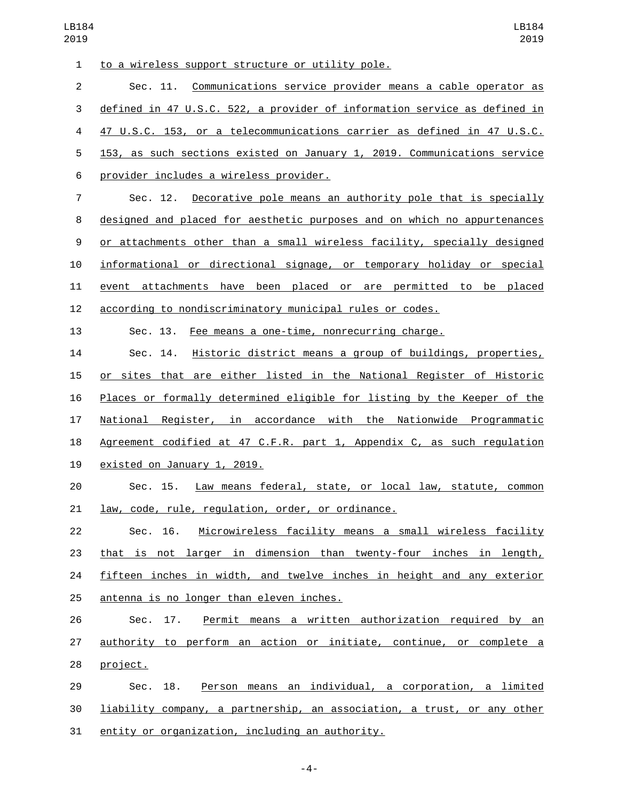| $\mathbf{1}$   | to a wireless support structure or utility pole.                               |
|----------------|--------------------------------------------------------------------------------|
| $\overline{2}$ | Sec. 11. Communications service provider means a cable operator as             |
| 3              | defined in 47 U.S.C. 522, a provider of information service as defined in      |
| 4              | 47 U.S.C. 153, or a telecommunications carrier as defined in 47 U.S.C.         |
| 5              | 153, as such sections existed on January 1, 2019. Communications service       |
| 6              | provider includes a wireless provider.                                         |
| $\overline{7}$ | Sec. 12. Decorative pole means an authority pole that is specially             |
| 8              | designed and placed for aesthetic purposes and on which no appurtenances       |
| 9              | <u>or attachments other than a small wireless facility, specially designed</u> |
| 10             | informational or directional signage, or temporary holiday or special          |
| 11             | event attachments have been placed or are permitted to be placed               |
| 12             | according to nondiscriminatory municipal rules or codes.                       |
| 13             | Sec. 13. Fee means a one-time, nonrecurring charge.                            |
| 14             | Sec. 14. Historic district means a group of buildings, properties,             |
| 15             | or sites that are either listed in the National Register of Historic           |
| 16             | Places or formally determined eligible for listing by the Keeper of the        |
| 17             | National Register, in accordance with the Nationwide Programmatic              |
| 18             | Agreement codified at 47 C.F.R. part 1, Appendix C, as such regulation         |
| 19             | existed on January 1, 2019.                                                    |
| 20             | Law means federal, state, or local law, statute, common<br>Sec. 15.            |
| 21             | law, code, rule, regulation, order, or ordinance.                              |
| 22             | Microwireless facility means a small wireless facility<br>Sec. 16.             |
| 23             | that is not larger in dimension than twenty-four inches in length,             |
| 24             | fifteen inches in width, and twelve inches in height and any exterior          |
| 25             | antenna is no longer than eleven inches.                                       |
| 26             | Permit means a written authorization required by an<br>Sec. 17.                |
| 27             | authority to perform an action or initiate, continue, or complete a            |
| 28             | project.                                                                       |
| 29             | Sec. 18. Person means an individual, a corporation, a limited                  |
| 30             | liability company, a partnership, an association, a trust, or any other        |
| 31             | entity or organization, including an authority.                                |

-4-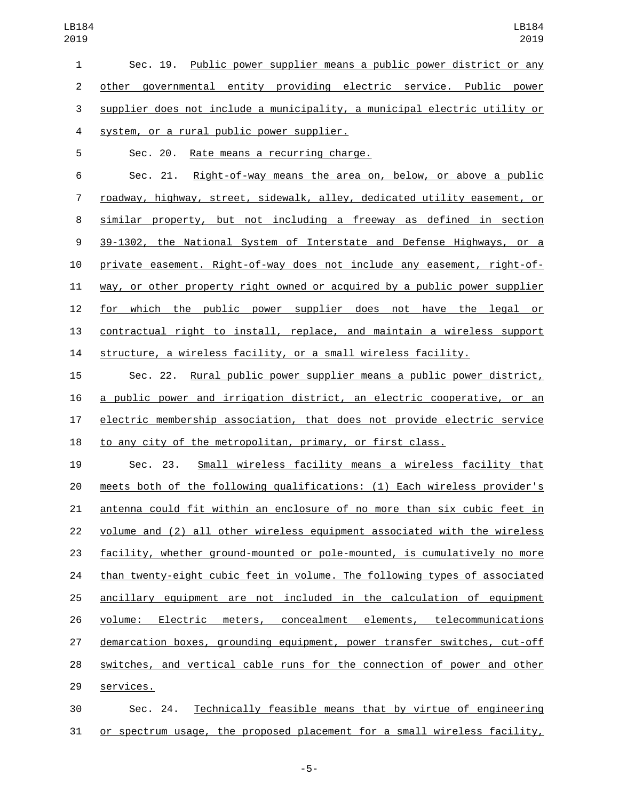Sec. 19. Public power supplier means a public power district or any other governmental entity providing electric service. Public power supplier does not include a municipality, a municipal electric utility or 4 system, or a rural public power supplier.

5 Sec. 20. Rate means a recurring charge.

 Sec. 21. Right-of-way means the area on, below, or above a public roadway, highway, street, sidewalk, alley, dedicated utility easement, or similar property, but not including a freeway as defined in section 39-1302, the National System of Interstate and Defense Highways, or a private easement. Right-of-way does not include any easement, right-of- way, or other property right owned or acquired by a public power supplier for which the public power supplier does not have the legal or contractual right to install, replace, and maintain a wireless support structure, a wireless facility, or a small wireless facility.

 Sec. 22. Rural public power supplier means a public power district, a public power and irrigation district, an electric cooperative, or an electric membership association, that does not provide electric service to any city of the metropolitan, primary, or first class.

 Sec. 23. Small wireless facility means a wireless facility that meets both of the following qualifications: (1) Each wireless provider's antenna could fit within an enclosure of no more than six cubic feet in 22 volume and (2) all other wireless equipment associated with the wireless facility, whether ground-mounted or pole-mounted, is cumulatively no more than twenty-eight cubic feet in volume. The following types of associated ancillary equipment are not included in the calculation of equipment volume: Electric meters, concealment elements, telecommunications demarcation boxes, grounding equipment, power transfer switches, cut-off switches, and vertical cable runs for the connection of power and other 29 services.

 Sec. 24. Technically feasible means that by virtue of engineering or spectrum usage, the proposed placement for a small wireless facility,

-5-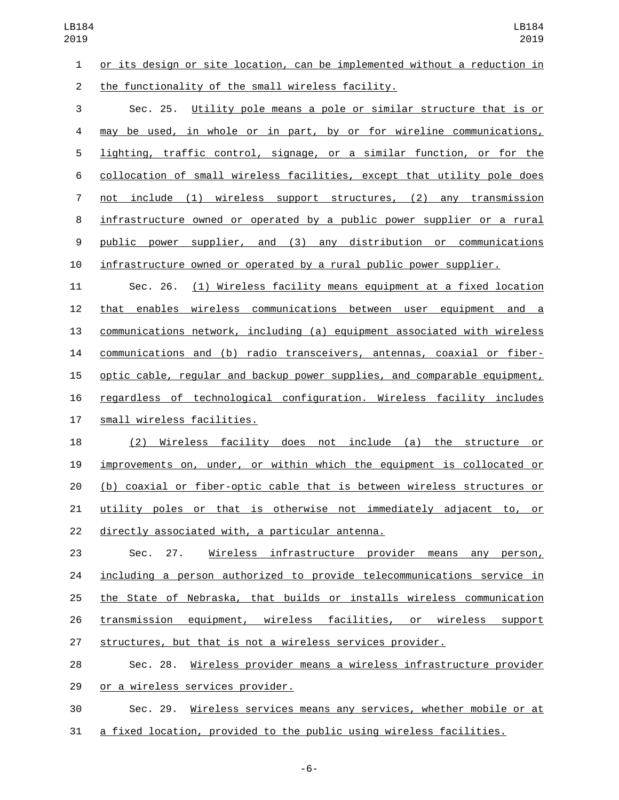or its design or site location, can be implemented without a reduction in 2 the functionality of the small wireless facility.

 Sec. 25. Utility pole means a pole or similar structure that is or may be used, in whole or in part, by or for wireline communications, lighting, traffic control, signage, or a similar function, or for the collocation of small wireless facilities, except that utility pole does not include (1) wireless support structures, (2) any transmission infrastructure owned or operated by a public power supplier or a rural public power supplier, and (3) any distribution or communications infrastructure owned or operated by a rural public power supplier.

 Sec. 26. (1) Wireless facility means equipment at a fixed location that enables wireless communications between user equipment and a communications network, including (a) equipment associated with wireless communications and (b) radio transceivers, antennas, coaxial or fiber- optic cable, regular and backup power supplies, and comparable equipment, regardless of technological configuration. Wireless facility includes 17 small wireless facilities.

 (2) Wireless facility does not include (a) the structure or improvements on, under, or within which the equipment is collocated or (b) coaxial or fiber-optic cable that is between wireless structures or utility poles or that is otherwise not immediately adjacent to, or 22 directly associated with, a particular antenna.

 Sec. 27. Wireless infrastructure provider means any person, including a person authorized to provide telecommunications service in the State of Nebraska, that builds or installs wireless communication transmission equipment, wireless facilities, or wireless support structures, but that is not a wireless services provider.

 Sec. 28. Wireless provider means a wireless infrastructure provider 29 or a wireless services provider.

 Sec. 29. Wireless services means any services, whether mobile or at a fixed location, provided to the public using wireless facilities.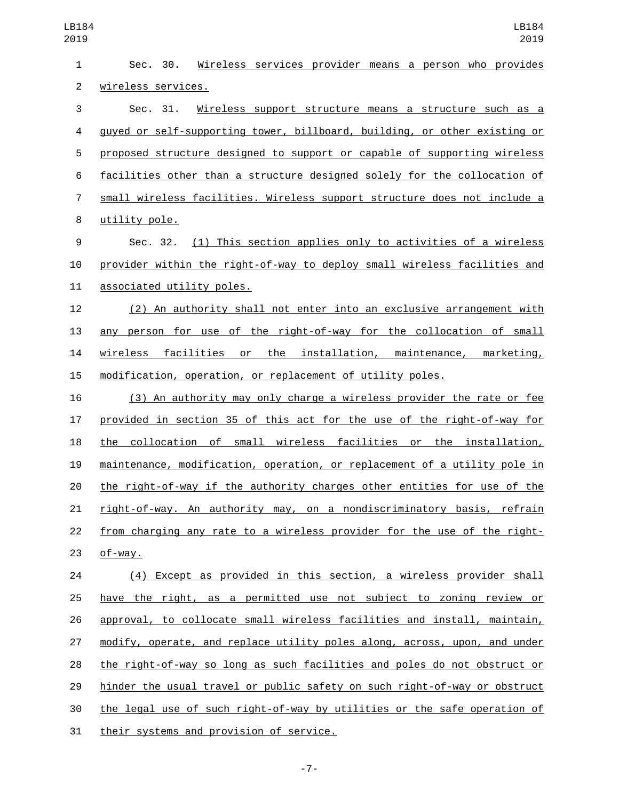| 1              | Sec. 30.<br>Wireless services provider means a person who provides        |
|----------------|---------------------------------------------------------------------------|
| $\overline{2}$ | wireless services.                                                        |
| 3              | Wireless support structure means a structure such as a<br>Sec. 31.        |
| 4              | guyed or self-supporting tower, billboard, building, or other existing or |
| 5              | proposed structure designed to support or capable of supporting wireless  |
| 6              | facilities other than a structure designed solely for the collocation of  |
| $\overline{7}$ | small wireless facilities. Wireless support structure does not include a  |
| 8              | utility pole.                                                             |
| 9              | Sec. 32. (1) This section applies only to activities of a wireless        |
| 10             | provider within the right-of-way to deploy small wireless facilities and  |
| 11             | associated utility poles.                                                 |
| 12             | (2) An authority shall not enter into an exclusive arrangement with       |
| 13             | any person for use of the right-of-way for the collocation of small       |
| 14             | wireless facilities or the installation, maintenance, marketing,          |
| 15             | modification, operation, or replacement of utility poles.                 |
| 16             | (3) An authority may only charge a wireless provider the rate or fee      |
| 17             | provided in section 35 of this act for the use of the right-of-way for    |
| 18             | the collocation of small wireless facilities or the installation,         |
| 19             | maintenance, modification, operation, or replacement of a utility pole in |
| 20             | the right-of-way if the authority charges other entities for use of the   |
| 21             | right-of-way. An authority may, on a nondiscriminatory basis, refrain     |
| 22             | from charging any rate to a wireless provider for the use of the right-   |
| 23             | $of$ -way.                                                                |
| 24             | (4) Except as provided in this section, a wireless provider shall         |
| 25             | have the right, as a permitted use not subject to zoning review or        |
| 26             | approval, to collocate small wireless facilities and install, maintain,   |
| 27             | modify, operate, and replace utility poles along, across, upon, and under |
| 28             | the right-of-way so long as such facilities and poles do not obstruct or  |
| 29             | hinder the usual travel or public safety on such right-of-way or obstruct |
| 30             | the legal use of such right-of-way by utilities or the safe operation of  |
| 31             | their systems and provision of service.                                   |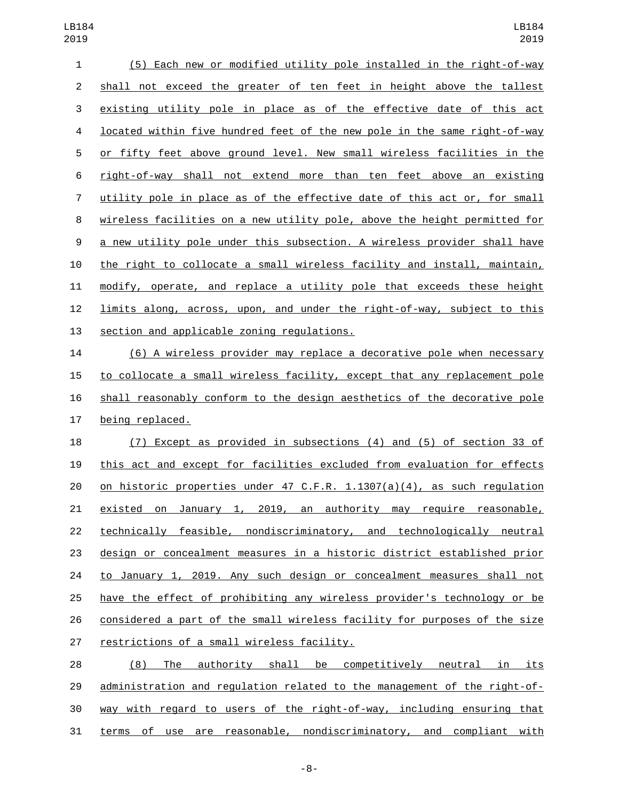| 1              | (5) Each new or modified utility pole installed in the right-of-way        |
|----------------|----------------------------------------------------------------------------|
| $\overline{2}$ | shall not exceed the greater of ten feet in height above the tallest       |
| 3              | existing utility pole in place as of the effective date of this act        |
| 4              | located within five hundred feet of the new pole in the same right-of-way  |
| 5              | or fifty feet above ground level. New small wireless facilities in the     |
| 6              | right-of-way shall not extend more than ten feet above an existing         |
| 7              | utility pole in place as of the effective date of this act or, for small   |
| 8              | wireless facilities on a new utility pole, above the height permitted for  |
| 9              | a new utility pole under this subsection. A wireless provider shall have   |
| 10             | the right to collocate a small wireless facility and install, maintain,    |
| 11             | modify, operate, and replace a utility pole that exceeds these height      |
| 12             | limits along, across, upon, and under the right-of-way, subject to this    |
| 13             | section and applicable zoning regulations.                                 |
| 14             | (6) A wireless provider may replace a decorative pole when necessary       |
| 15             | to collocate a small wireless facility, except that any replacement pole   |
| 16             | shall reasonably conform to the design aesthetics of the decorative pole   |
| 17             | being replaced.                                                            |
| 18             | (7) Except as provided in subsections (4) and (5) of section 33 of         |
| 19             | this act and except for facilities excluded from evaluation for effects    |
| 20             | on historic properties under 47 C.F.R. $1.1307(a)(4)$ , as such regulation |
| 21             | January 1, 2019, an authority may require reasonable,<br>existed on        |
| 22             | technically feasible, nondiscriminatory, and technologically neutral       |
| 23             | design or concealment measures in a historic district established prior    |
| 24             | to January 1, 2019. Any such design or concealment measures shall not      |
| 25             | have the effect of prohibiting any wireless provider's technology or be    |
| 26             | considered a part of the small wireless facility for purposes of the size  |
| 27             | restrictions of a small wireless facility.                                 |
| 28             | The authority shall be competitively neutral in<br><u>its</u><br>(8)       |
|                |                                                                            |

 administration and regulation related to the management of the right-of- way with regard to users of the right-of-way, including ensuring that terms of use are reasonable, nondiscriminatory, and compliant with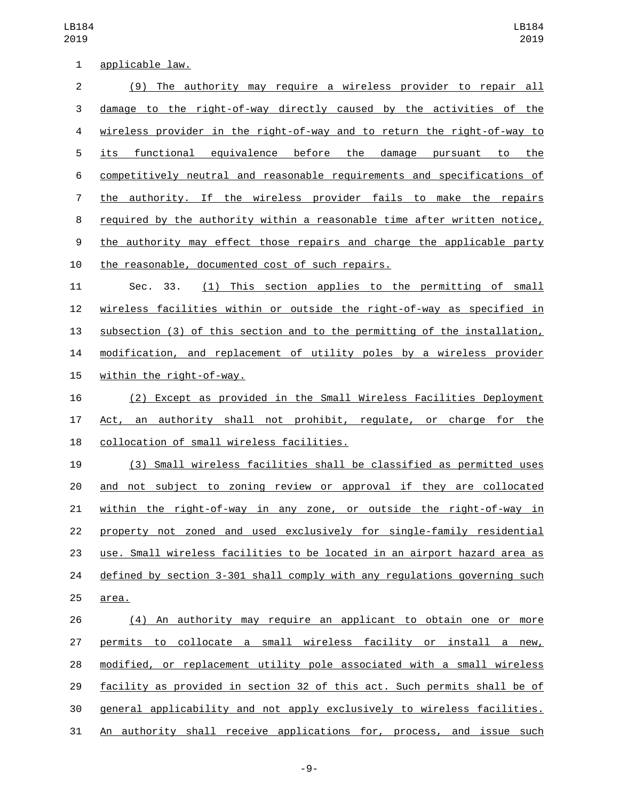1 applicable law. (9) The authority may require a wireless provider to repair all damage to the right-of-way directly caused by the activities of the wireless provider in the right-of-way and to return the right-of-way to its functional equivalence before the damage pursuant to the competitively neutral and reasonable requirements and specifications of the authority. If the wireless provider fails to make the repairs required by the authority within a reasonable time after written notice, the authority may effect those repairs and charge the applicable party 10 the reasonable, documented cost of such repairs. Sec. 33. (1) This section applies to the permitting of small wireless facilities within or outside the right-of-way as specified in subsection (3) of this section and to the permitting of the installation, modification, and replacement of utility poles by a wireless provider 15 within the right-of-way. (2) Except as provided in the Small Wireless Facilities Deployment Act, an authority shall not prohibit, regulate, or charge for the 18 collocation of small wireless facilities. (3) Small wireless facilities shall be classified as permitted uses and not subject to zoning review or approval if they are collocated within the right-of-way in any zone, or outside the right-of-way in property not zoned and used exclusively for single-family residential use. Small wireless facilities to be located in an airport hazard area as defined by section 3-301 shall comply with any regulations governing such 25 area. (4) An authority may require an applicant to obtain one or more permits to collocate a small wireless facility or install a new, modified, or replacement utility pole associated with a small wireless facility as provided in section 32 of this act. Such permits shall be of general applicability and not apply exclusively to wireless facilities.

An authority shall receive applications for, process, and issue such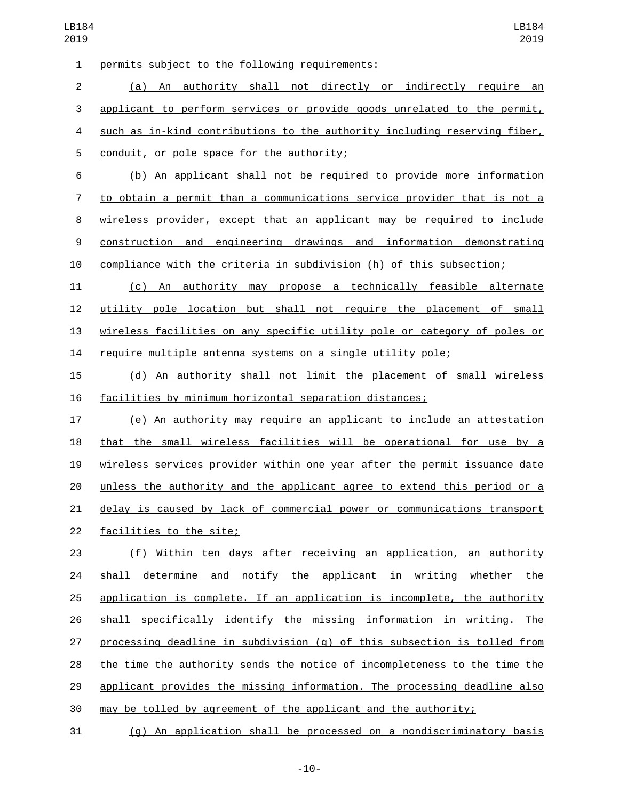1 permits subject to the following requirements:

 (a) An authority shall not directly or indirectly require an applicant to perform services or provide goods unrelated to the permit, such as in-kind contributions to the authority including reserving fiber, 5 conduit, or pole space for the authority;

 (b) An applicant shall not be required to provide more information to obtain a permit than a communications service provider that is not a wireless provider, except that an applicant may be required to include construction and engineering drawings and information demonstrating compliance with the criteria in subdivision (h) of this subsection;

 (c) An authority may propose a technically feasible alternate utility pole location but shall not require the placement of small wireless facilities on any specific utility pole or category of poles or require multiple antenna systems on a single utility pole;

 (d) An authority shall not limit the placement of small wireless facilities by minimum horizontal separation distances;

 (e) An authority may require an applicant to include an attestation that the small wireless facilities will be operational for use by a wireless services provider within one year after the permit issuance date unless the authority and the applicant agree to extend this period or a delay is caused by lack of commercial power or communications transport 22 facilities to the site;

 (f) Within ten days after receiving an application, an authority shall determine and notify the applicant in writing whether the application is complete. If an application is incomplete, the authority shall specifically identify the missing information in writing. The processing deadline in subdivision (g) of this subsection is tolled from the time the authority sends the notice of incompleteness to the time the applicant provides the missing information. The processing deadline also may be tolled by agreement of the applicant and the authority;

(g) An application shall be processed on a nondiscriminatory basis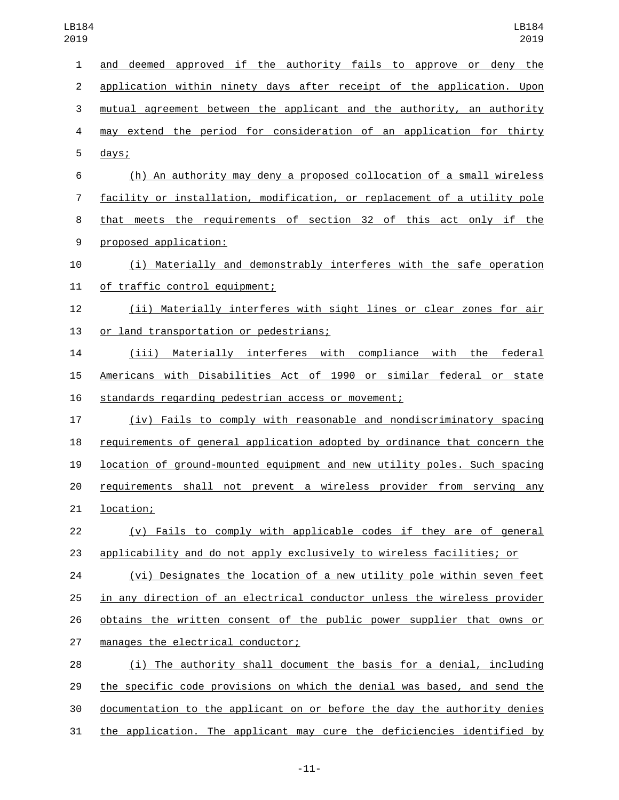| $\mathbf{1}$     | approved if the authority fails to approve or deny the<br>deemed<br>and   |
|------------------|---------------------------------------------------------------------------|
| $\overline{2}$   | application within ninety days after receipt of the application. Upon     |
| 3                | mutual agreement between the applicant and the authority, an authority    |
| 4                | may extend the period for consideration of an application for thirty      |
| 5                | days;                                                                     |
| 6                | (h) An authority may deny a proposed collocation of a small wireless      |
| 7                | facility or installation, modification, or replacement of a utility pole  |
| 8                | that meets the requirements of section 32 of this act only if the         |
| $\boldsymbol{9}$ | proposed application:                                                     |
| 10               | (i) Materially and demonstrably interferes with the safe operation        |
| 11               | of traffic control equipment;                                             |
| 12               | (ii) Materially interferes with sight lines or clear zones for air        |
| 13               | or land transportation or pedestrians;                                    |
| 14               | (iii) Materially interferes with compliance with the federal              |
| 15               | Americans with Disabilities Act of 1990 or similar federal or state       |
| 16               | standards regarding pedestrian access or movement;                        |
| 17               | (iv) Fails to comply with reasonable and nondiscriminatory spacing        |
| 18               | requirements of general application adopted by ordinance that concern the |
| 19               | location of ground-mounted equipment and new utility poles. Such spacing  |
| 20               | requirements shall not prevent a wireless provider from serving any       |
| 21               | <u>location;</u>                                                          |
| 22               | (v) Fails to comply with applicable codes if they are of general          |
| 23               | applicability and do not apply exclusively to wireless facilities; or     |
| 24               | (vi) Designates the location of a new utility pole within seven feet      |
| 25               | in any direction of an electrical conductor unless the wireless provider  |
| 26               | obtains the written consent of the public power supplier that owns or     |
| 27               | manages the electrical conductor;                                         |
| 28               | (i) The authority shall document the basis for a denial, including        |
| 29               | the specific code provisions on which the denial was based, and send the  |
| 30               | documentation to the applicant on or before the day the authority denies  |
| 31               | the application. The applicant may cure the deficiencies identified by    |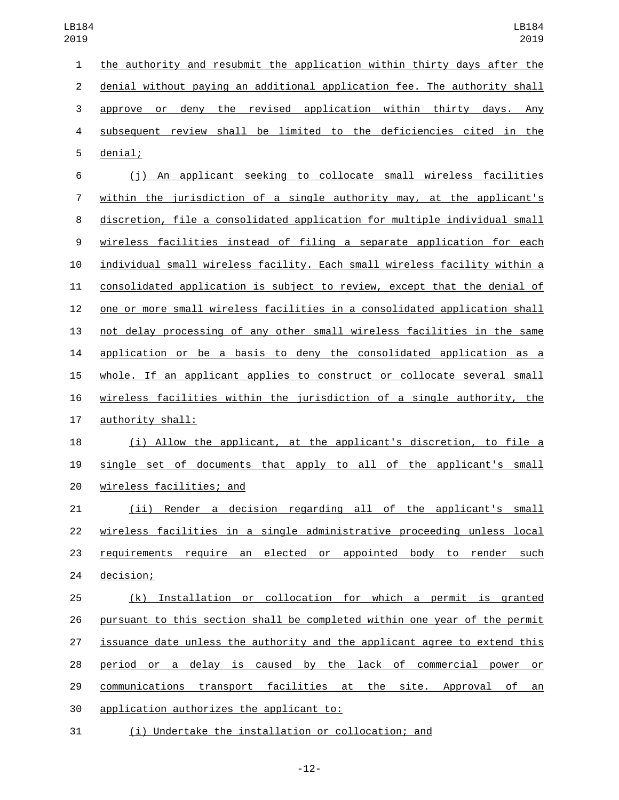the authority and resubmit the application within thirty days after the denial without paying an additional application fee. The authority shall approve or deny the revised application within thirty days. Any subsequent review shall be limited to the deficiencies cited in the 5 denial; (j) An applicant seeking to collocate small wireless facilities within the jurisdiction of a single authority may, at the applicant's discretion, file a consolidated application for multiple individual small wireless facilities instead of filing a separate application for each individual small wireless facility. Each small wireless facility within a consolidated application is subject to review, except that the denial of one or more small wireless facilities in a consolidated application shall not delay processing of any other small wireless facilities in the same application or be a basis to deny the consolidated application as a whole. If an applicant applies to construct or collocate several small wireless facilities within the jurisdiction of a single authority, the 17 authority shall: (i) Allow the applicant, at the applicant's discretion, to file a single set of documents that apply to all of the applicant's small 20 wireless facilities; and (ii) Render a decision regarding all of the applicant's small wireless facilities in a single administrative proceeding unless local 23 requirements require an elected or appointed body to render such 24 decision; (k) Installation or collocation for which a permit is granted pursuant to this section shall be completed within one year of the permit issuance date unless the authority and the applicant agree to extend this period or a delay is caused by the lack of commercial power or

 communications transport facilities at the site. Approval of an 30 application authorizes the applicant to:

(i) Undertake the installation or collocation; and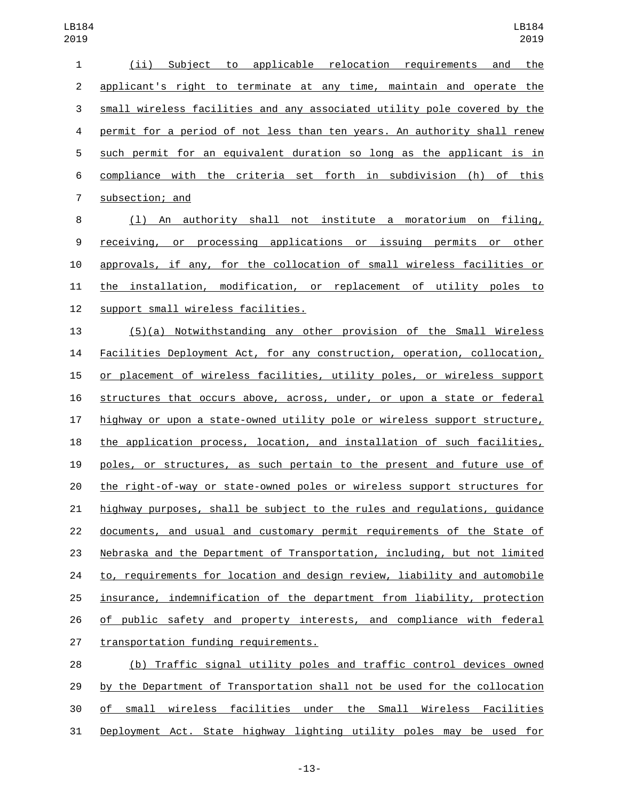| 1              | to applicable relocation requirements and<br>Subject<br>the<br>(i)       |
|----------------|--------------------------------------------------------------------------|
| 2              | applicant's right to terminate at any time, maintain and operate the     |
| 3              | small wireless facilities and any associated utility pole covered by the |
| 4              | permit for a period of not less than ten years. An authority shall renew |
| 5              | such permit for an equivalent duration so long as the applicant is in    |
| 6              | compliance with the criteria set forth in subdivision (h) of this        |
| $\overline{7}$ | subsection; and                                                          |
| 8              | An authority shall not institute a moratorium on filing,<br>(1)          |
| 9              | receiving, or processing applications or issuing permits or<br>other     |
| 10             | approvals, if any, for the collocation of small wireless facilities or   |
| 11             | the installation, modification, or replacement of utility poles to       |
| 12             | support small wireless facilities.                                       |
| 13             | $(5)(a)$ Notwithstanding any other provision of the Small Wireless       |
| 14             | Facilities Deployment Act, for any construction, operation, collocation, |

 or placement of wireless facilities, utility poles, or wireless support structures that occurs above, across, under, or upon a state or federal highway or upon a state-owned utility pole or wireless support structure, the application process, location, and installation of such facilities, poles, or structures, as such pertain to the present and future use of the right-of-way or state-owned poles or wireless support structures for highway purposes, shall be subject to the rules and regulations, guidance documents, and usual and customary permit requirements of the State of Nebraska and the Department of Transportation, including, but not limited 24 to, requirements for location and design review, liability and automobile insurance, indemnification of the department from liability, protection 26 of public safety and property interests, and compliance with federal 27 transportation funding requirements.

 (b) Traffic signal utility poles and traffic control devices owned by the Department of Transportation shall not be used for the collocation of small wireless facilities under the Small Wireless Facilities Deployment Act. State highway lighting utility poles may be used for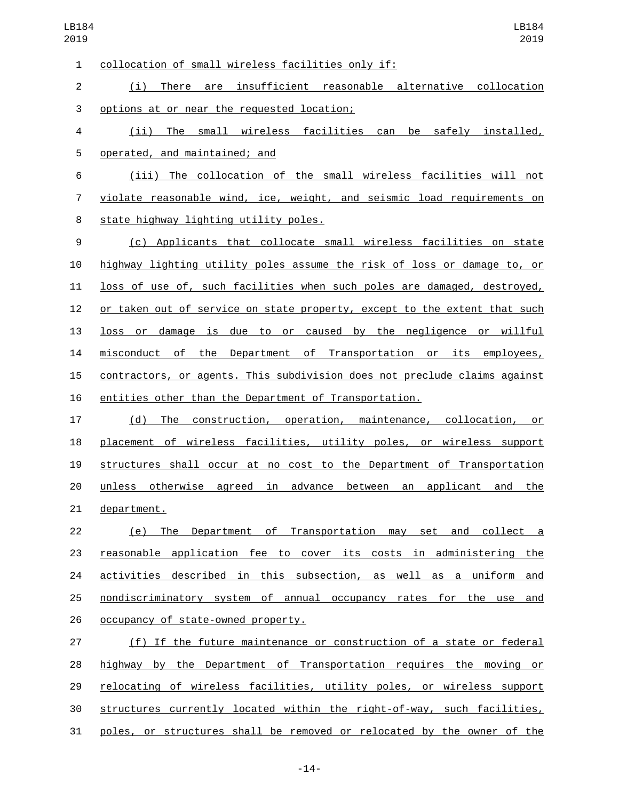collocation of small wireless facilities only if:1 (i) There are insufficient reasonable alternative collocation 3 options at or near the requested location; (ii) The small wireless facilities can be safely installed, 5 operated, and maintained; and (iii) The collocation of the small wireless facilities will not violate reasonable wind, ice, weight, and seismic load requirements on 8 state highway lighting utility poles. (c) Applicants that collocate small wireless facilities on state highway lighting utility poles assume the risk of loss or damage to, or loss of use of, such facilities when such poles are damaged, destroyed, or taken out of service on state property, except to the extent that such loss or damage is due to or caused by the negligence or willful misconduct of the Department of Transportation or its employees, contractors, or agents. This subdivision does not preclude claims against entities other than the Department of Transportation. (d) The construction, operation, maintenance, collocation, or placement of wireless facilities, utility poles, or wireless support structures shall occur at no cost to the Department of Transportation unless otherwise agreed in advance between an applicant and the 21 department. (e) The Department of Transportation may set and collect a reasonable application fee to cover its costs in administering the activities described in this subsection, as well as a uniform and nondiscriminatory system of annual occupancy rates for the use and 26 occupancy of state-owned property. (f) If the future maintenance or construction of a state or federal highway by the Department of Transportation requires the moving or

 relocating of wireless facilities, utility poles, or wireless support structures currently located within the right-of-way, such facilities,

poles, or structures shall be removed or relocated by the owner of the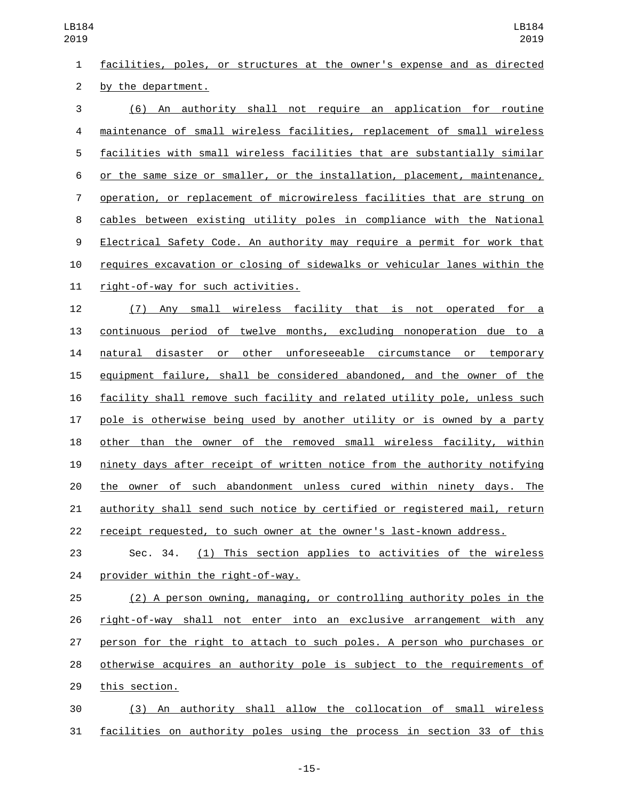facilities, poles, or structures at the owner's expense and as directed 2 by the department.

 (6) An authority shall not require an application for routine maintenance of small wireless facilities, replacement of small wireless facilities with small wireless facilities that are substantially similar or the same size or smaller, or the installation, placement, maintenance, operation, or replacement of microwireless facilities that are strung on cables between existing utility poles in compliance with the National Electrical Safety Code. An authority may require a permit for work that requires excavation or closing of sidewalks or vehicular lanes within the 11 right-of-way for such activities.

 (7) Any small wireless facility that is not operated for a continuous period of twelve months, excluding nonoperation due to a natural disaster or other unforeseeable circumstance or temporary equipment failure, shall be considered abandoned, and the owner of the facility shall remove such facility and related utility pole, unless such pole is otherwise being used by another utility or is owned by a party other than the owner of the removed small wireless facility, within ninety days after receipt of written notice from the authority notifying the owner of such abandonment unless cured within ninety days. The authority shall send such notice by certified or registered mail, return receipt requested, to such owner at the owner's last-known address.

 Sec. 34. (1) This section applies to activities of the wireless provider within the right-of-way.

 (2) A person owning, managing, or controlling authority poles in the right-of-way shall not enter into an exclusive arrangement with any person for the right to attach to such poles. A person who purchases or otherwise acquires an authority pole is subject to the requirements of 29 this section.

 (3) An authority shall allow the collocation of small wireless facilities on authority poles using the process in section 33 of this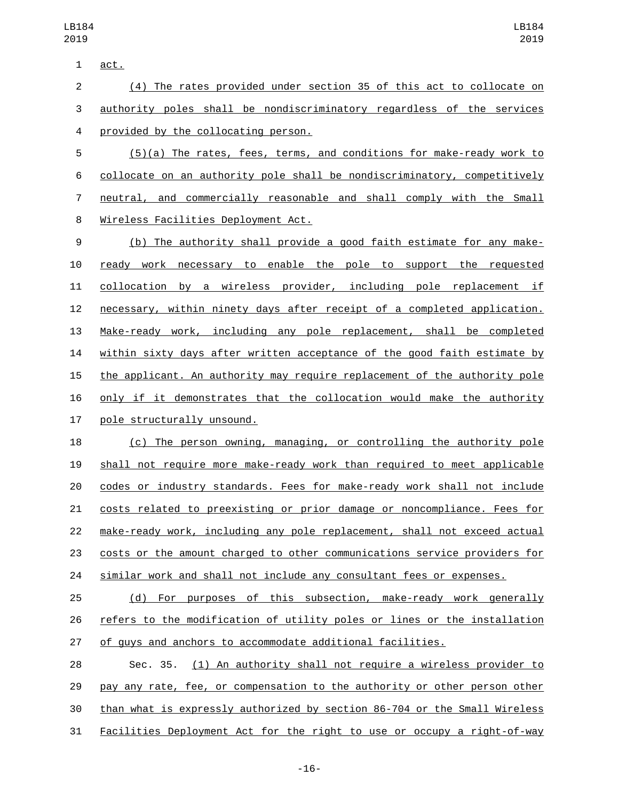1 act.

| $2 \left( \frac{1}{2} \right)$ | (4) The rates provided under section 35 of this act to collocate on     |  |  |  |
|--------------------------------|-------------------------------------------------------------------------|--|--|--|
|                                | 3 authority poles shall be nondiscriminatory regardless of the services |  |  |  |
|                                | 4 provided by the collocating person.                                   |  |  |  |

 (5)(a) The rates, fees, terms, and conditions for make-ready work to collocate on an authority pole shall be nondiscriminatory, competitively neutral, and commercially reasonable and shall comply with the Small 8 Wireless Facilities Deployment Act.

 (b) The authority shall provide a good faith estimate for any make- ready work necessary to enable the pole to support the requested collocation by a wireless provider, including pole replacement if necessary, within ninety days after receipt of a completed application. Make-ready work, including any pole replacement, shall be completed within sixty days after written acceptance of the good faith estimate by the applicant. An authority may require replacement of the authority pole only if it demonstrates that the collocation would make the authority 17 pole structurally unsound.

 (c) The person owning, managing, or controlling the authority pole shall not require more make-ready work than required to meet applicable codes or industry standards. Fees for make-ready work shall not include costs related to preexisting or prior damage or noncompliance. Fees for make-ready work, including any pole replacement, shall not exceed actual costs or the amount charged to other communications service providers for 24 similar work and shall not include any consultant fees or expenses.

 (d) For purposes of this subsection, make-ready work generally refers to the modification of utility poles or lines or the installation of guys and anchors to accommodate additional facilities.

 Sec. 35. (1) An authority shall not require a wireless provider to pay any rate, fee, or compensation to the authority or other person other than what is expressly authorized by section 86-704 or the Small Wireless Facilities Deployment Act for the right to use or occupy a right-of-way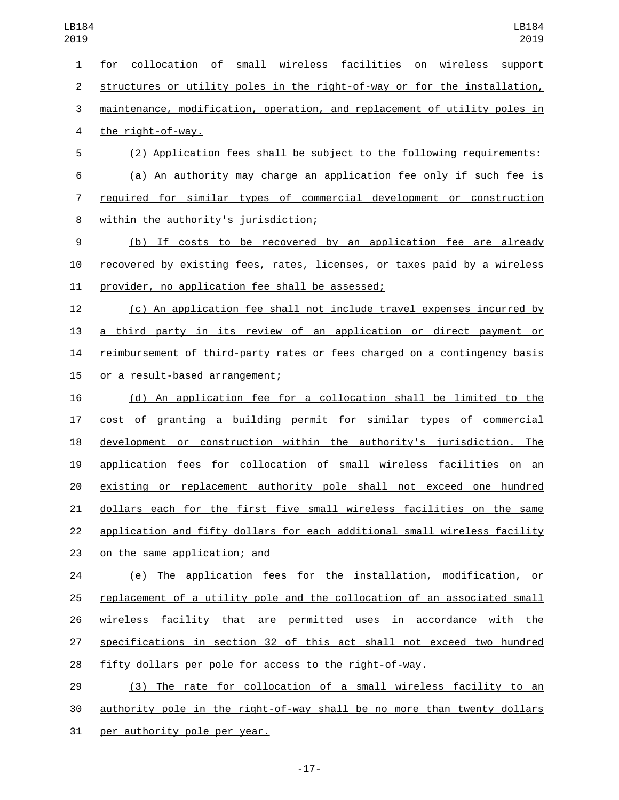for collocation of small wireless facilities on wireless support structures or utility poles in the right-of-way or for the installation, maintenance, modification, operation, and replacement of utility poles in 4 the right-of-way. (2) Application fees shall be subject to the following requirements: (a) An authority may charge an application fee only if such fee is required for similar types of commercial development or construction 8 within the authority's jurisdiction; (b) If costs to be recovered by an application fee are already recovered by existing fees, rates, licenses, or taxes paid by a wireless 11 provider, no application fee shall be assessed; (c) An application fee shall not include travel expenses incurred by a third party in its review of an application or direct payment or reimbursement of third-party rates or fees charged on a contingency basis 15 or a result-based arrangement; (d) An application fee for a collocation shall be limited to the cost of granting a building permit for similar types of commercial development or construction within the authority's jurisdiction. The application fees for collocation of small wireless facilities on an existing or replacement authority pole shall not exceed one hundred dollars each for the first five small wireless facilities on the same 22 application and fifty dollars for each additional small wireless facility 23 on the same application; and LB184 

 (e) The application fees for the installation, modification, or replacement of a utility pole and the collocation of an associated small wireless facility that are permitted uses in accordance with the specifications in section 32 of this act shall not exceed two hundred fifty dollars per pole for access to the right-of-way.

 (3) The rate for collocation of a small wireless facility to an authority pole in the right-of-way shall be no more than twenty dollars 31 per authority pole per year.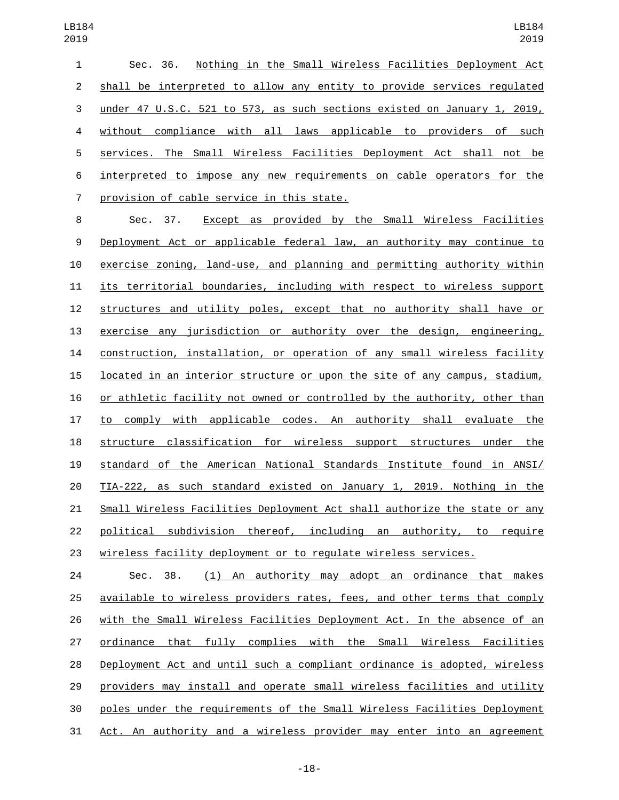Sec. 36. Nothing in the Small Wireless Facilities Deployment Act shall be interpreted to allow any entity to provide services regulated under 47 U.S.C. 521 to 573, as such sections existed on January 1, 2019, without compliance with all laws applicable to providers of such services. The Small Wireless Facilities Deployment Act shall not be interpreted to impose any new requirements on cable operators for the 7 provision of cable service in this state.

 Sec. 37. Except as provided by the Small Wireless Facilities Deployment Act or applicable federal law, an authority may continue to exercise zoning, land-use, and planning and permitting authority within its territorial boundaries, including with respect to wireless support structures and utility poles, except that no authority shall have or exercise any jurisdiction or authority over the design, engineering, construction, installation, or operation of any small wireless facility located in an interior structure or upon the site of any campus, stadium, or athletic facility not owned or controlled by the authority, other than to comply with applicable codes. An authority shall evaluate the structure classification for wireless support structures under the standard of the American National Standards Institute found in ANSI/ TIA-222, as such standard existed on January 1, 2019. Nothing in the Small Wireless Facilities Deployment Act shall authorize the state or any political subdivision thereof, including an authority, to require wireless facility deployment or to regulate wireless services.

 Sec. 38. (1) An authority may adopt an ordinance that makes available to wireless providers rates, fees, and other terms that comply with the Small Wireless Facilities Deployment Act. In the absence of an ordinance that fully complies with the Small Wireless Facilities Deployment Act and until such a compliant ordinance is adopted, wireless providers may install and operate small wireless facilities and utility poles under the requirements of the Small Wireless Facilities Deployment Act. An authority and a wireless provider may enter into an agreement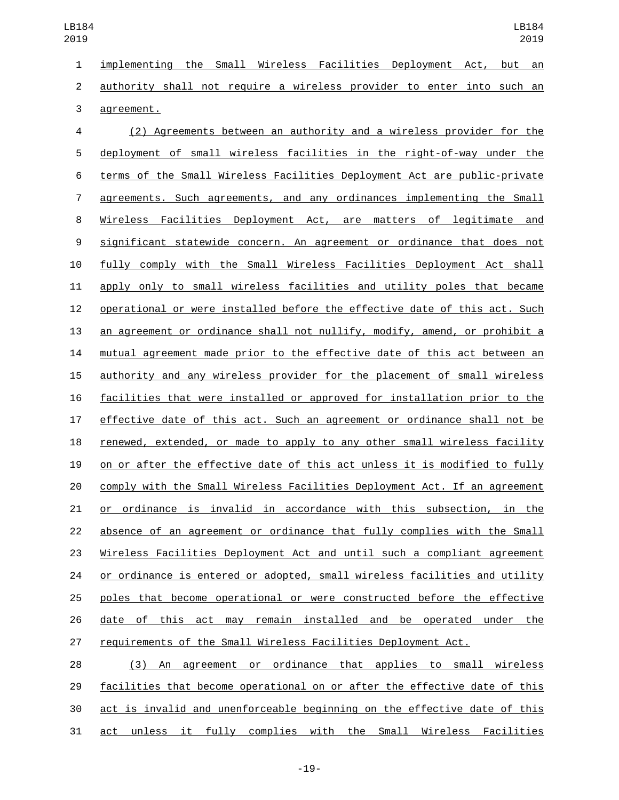implementing the Small Wireless Facilities Deployment Act, but an authority shall not require a wireless provider to enter into such an 3 agreement.

 (2) Agreements between an authority and a wireless provider for the deployment of small wireless facilities in the right-of-way under the terms of the Small Wireless Facilities Deployment Act are public-private agreements. Such agreements, and any ordinances implementing the Small Wireless Facilities Deployment Act, are matters of legitimate and significant statewide concern. An agreement or ordinance that does not fully comply with the Small Wireless Facilities Deployment Act shall apply only to small wireless facilities and utility poles that became operational or were installed before the effective date of this act. Such an agreement or ordinance shall not nullify, modify, amend, or prohibit a mutual agreement made prior to the effective date of this act between an authority and any wireless provider for the placement of small wireless facilities that were installed or approved for installation prior to the effective date of this act. Such an agreement or ordinance shall not be renewed, extended, or made to apply to any other small wireless facility on or after the effective date of this act unless it is modified to fully comply with the Small Wireless Facilities Deployment Act. If an agreement or ordinance is invalid in accordance with this subsection, in the absence of an agreement or ordinance that fully complies with the Small Wireless Facilities Deployment Act and until such a compliant agreement or ordinance is entered or adopted, small wireless facilities and utility poles that become operational or were constructed before the effective date of this act may remain installed and be operated under the requirements of the Small Wireless Facilities Deployment Act.

 (3) An agreement or ordinance that applies to small wireless facilities that become operational on or after the effective date of this act is invalid and unenforceable beginning on the effective date of this act unless it fully complies with the Small Wireless Facilities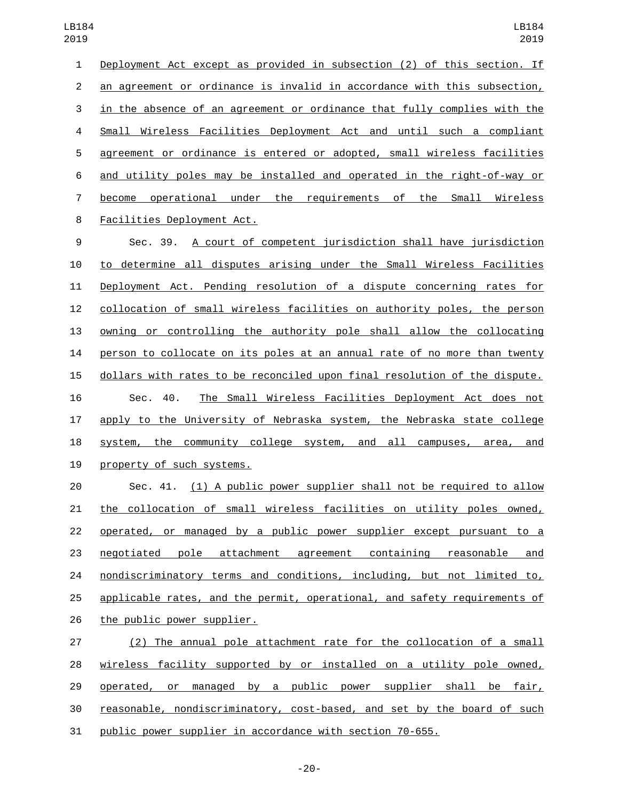Deployment Act except as provided in subsection (2) of this section. If an agreement or ordinance is invalid in accordance with this subsection, in the absence of an agreement or ordinance that fully complies with the Small Wireless Facilities Deployment Act and until such a compliant agreement or ordinance is entered or adopted, small wireless facilities and utility poles may be installed and operated in the right-of-way or become operational under the requirements of the Small Wireless 8 Facilities Deployment Act. Sec. 39. A court of competent jurisdiction shall have jurisdiction to determine all disputes arising under the Small Wireless Facilities Deployment Act. Pending resolution of a dispute concerning rates for collocation of small wireless facilities on authority poles, the person owning or controlling the authority pole shall allow the collocating person to collocate on its poles at an annual rate of no more than twenty dollars with rates to be reconciled upon final resolution of the dispute. Sec. 40. The Small Wireless Facilities Deployment Act does not apply to the University of Nebraska system, the Nebraska state college 18 system, the community college system, and all campuses, area, and 19 property of such systems. Sec. 41. (1) A public power supplier shall not be required to allow the collocation of small wireless facilities on utility poles owned, operated, or managed by a public power supplier except pursuant to a negotiated pole attachment agreement containing reasonable and nondiscriminatory terms and conditions, including, but not limited to,

 applicable rates, and the permit, operational, and safety requirements of 26 the public power supplier.

 (2) The annual pole attachment rate for the collocation of a small wireless facility supported by or installed on a utility pole owned, operated, or managed by a public power supplier shall be fair, reasonable, nondiscriminatory, cost-based, and set by the board of such public power supplier in accordance with section 70-655.